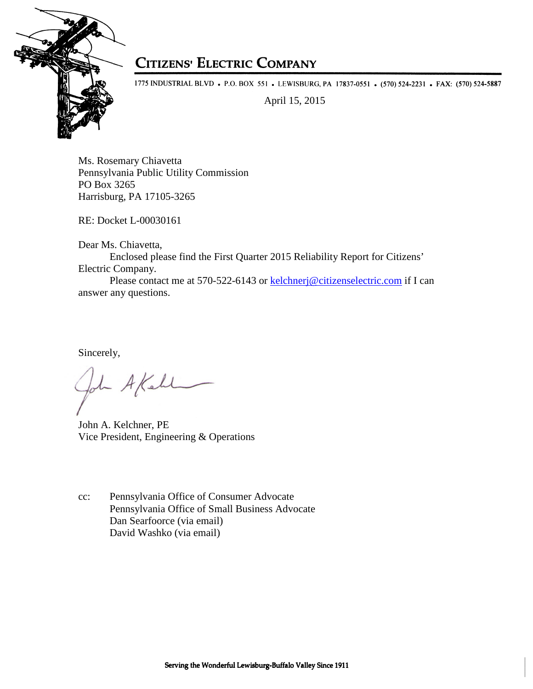

## **CITIZENS' ELECTRIC COMPANY**

1775 INDUSTRIAL BLVD • P.O. BOX 551 • LEWISBURG, PA 17837-0551 • (570) 524-2231 • FAX: (570) 524-5887

April 15, 2015

Ms. Rosemary Chiavetta Pennsylvania Public Utility Commission PO Box 3265 Harrisburg, PA 17105-3265

RE: Docket L-00030161

Dear Ms. Chiavetta,

Enclosed please find the First Quarter 2015 Reliability Report for Citizens' Electric Company.

Please contact me at 570-522-6143 or kelchnerj@citizenselectric.com if I can answer any questions.

Sincerely,

- A Kell

John A. Kelchner, PE Vice President, Engineering & Operations

cc: Pennsylvania Office of Consumer Advocate Pennsylvania Office of Small Business Advocate Dan Searfoorce (via email) David Washko (via email)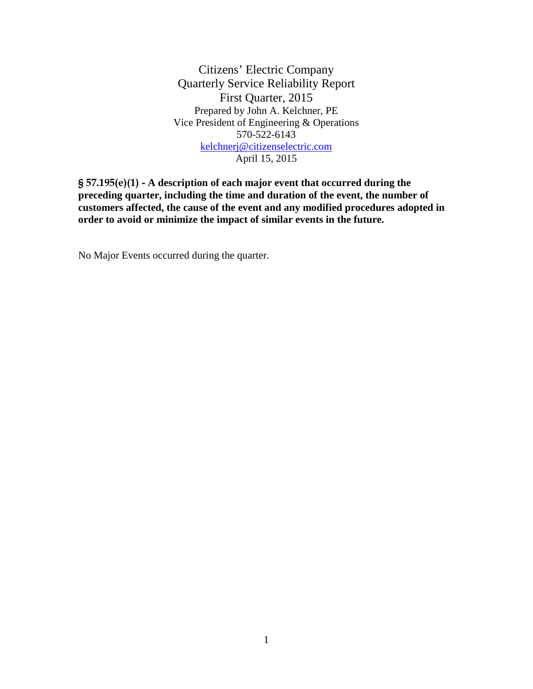Citizens' Electric Company Quarterly Service Reliability Report First Quarter, 2015 Prepared by John A. Kelchner, PE Vice President of Engineering & Operations 570-522-6143 kelchnerj@citizenselectric.com April 15, 2015

§ 57.195(e)(1) - **A description of each major event that occurred during the preceding quarter, including the time and duration of the event, the number of customers affected, the cause of the event and any modified procedures adopted in order to avoid or minimize the impact of similar events in the future.** 

No Major Events occurred during the quarter.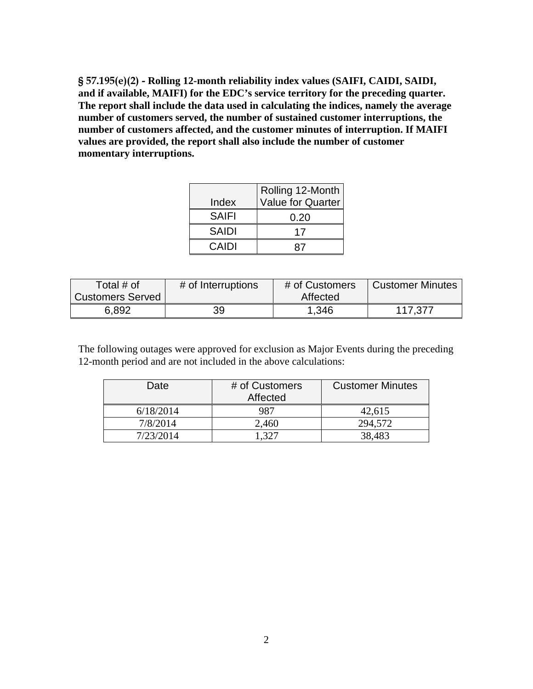§ 57.195(e)(2) - **Rolling 12-month reliability index values (SAIFI, CAIDI, SAIDI, and if available, MAIFI) for the EDC's service territory for the preceding quarter. The report shall include the data used in calculating the indices, namely the average number of customers served, the number of sustained customer interruptions, the number of customers affected, and the customer minutes of interruption. If MAIFI values are provided, the report shall also include the number of customer momentary interruptions.** 

|              | Rolling 12-Month         |
|--------------|--------------------------|
| Index        | <b>Value for Quarter</b> |
| <b>SAIFI</b> | 0.20                     |
| <b>SAIDI</b> | 17                       |
| CAIDI        |                          |

| Total # of              | # of Interruptions | # of Customers | <b>Customer Minutes</b> |
|-------------------------|--------------------|----------------|-------------------------|
| <b>Customers Served</b> |                    | Affected       |                         |
| 6,892                   | 39                 | 1.346          | 117,377                 |

The following outages were approved for exclusion as Major Events during the preceding 12-month period and are not included in the above calculations:

| Date      | # of Customers<br>Affected | <b>Customer Minutes</b> |
|-----------|----------------------------|-------------------------|
| 6/18/2014 | 987                        | 42,615                  |
| 7/8/2014  | 2,460                      | 294,572                 |
| 7/23/2014 | - 327                      | 38,483                  |